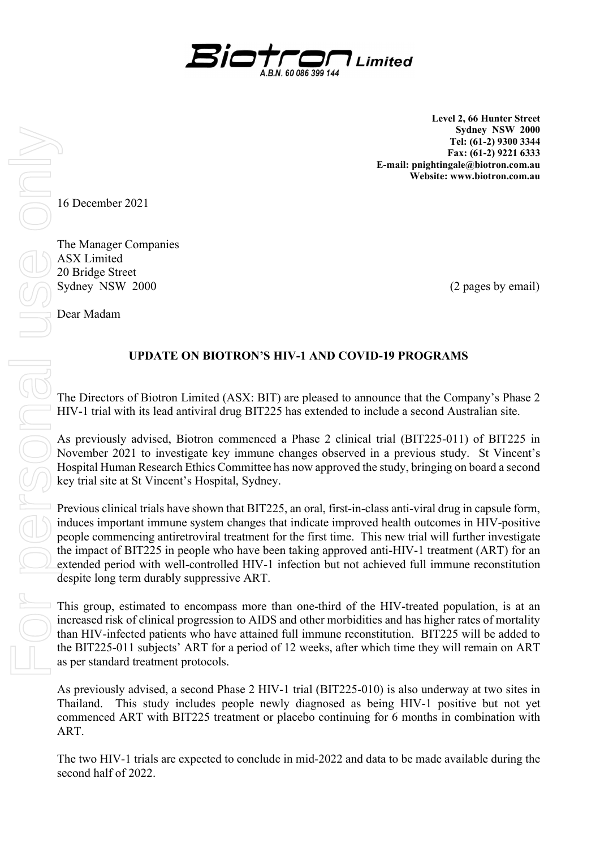

Level 2, 66 Hunter Street Sydney NSW 2000 Tel: (61-2) 9300 3344 Fax: (61-2) 9221 6333 E-mail: pnightingale@biotron.com.au Website: www.biotron.com.au

16 December 2021

The Manager Companies ASX Limited 20 Bridge Street Sydney NSW 2000 (2 pages by email)

Dear Madam

## UPDATE ON BIOTRON'S HIV-1 AND COVID-19 PROGRAMS

The Directors of Biotron Limited (ASX: BIT) are pleased to announce that the Company's Phase 2 HIV-1 trial with its lead antiviral drug BIT225 has extended to include a second Australian site.

As previously advised, Biotron commenced a Phase 2 clinical trial (BIT225-011) of BIT225 in November 2021 to investigate key immune changes observed in a previous study. St Vincent's Hospital Human Research Ethics Committee has now approved the study, bringing on board a second key trial site at St Vincent's Hospital, Sydney.

Previous clinical trials have shown that BIT225, an oral, first-in-class anti-viral drug in capsule form, induces important immune system changes that indicate improved health outcomes in HIV-positive people commencing antiretroviral treatment for the first time. This new trial will further investigate the impact of BIT225 in people who have been taking approved anti-HIV-1 treatment (ART) for an extended period with well-controlled HIV-1 infection but not achieved full immune reconstitution despite long term durably suppressive ART.

This group, estimated to encompass more than one-third of the HIV-treated population, is at an increased risk of clinical progression to AIDS and other morbidities and has higher rates of mortality than HIV-infected patients who have attained full immune reconstitution. BIT225 will be added to the BIT225-011 subjects' ART for a period of 12 weeks, after which time they will remain on ART as per standard treatment protocols.

As previously advised, a second Phase 2 HIV-1 trial (BIT225-010) is also underway at two sites in Thailand. This study includes people newly diagnosed as being HIV-1 positive but not yet commenced ART with BIT225 treatment or placebo continuing for 6 months in combination with ART.

The two HIV-1 trials are expected to conclude in mid-2022 and data to be made available during the